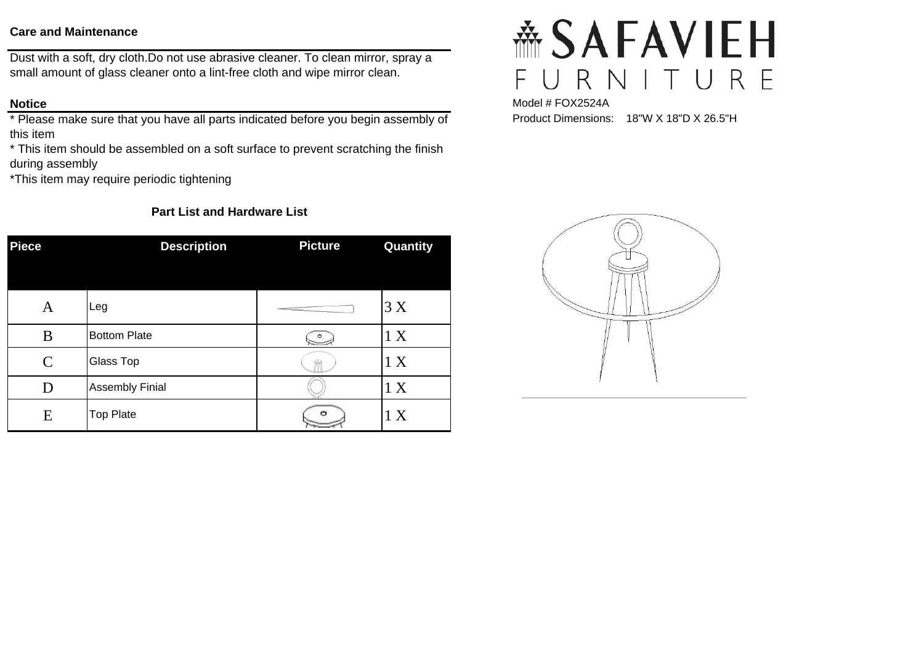#### **Care and Maintenance**

Dust with a soft, dry cloth.Do not use abrasive cleaner. To clean mirror, spray a small amount of glass cleaner onto a lint-free cloth and wipe mirror clean.

#### **Notice**

\* Please make sure that you have all parts indicated before you begin assembly of this item

\* This item should be assembled on a soft surface to prevent scratching the finish during assembly

\*This item may require periodic tightening

### **Part List and Hardware List**

| <b>Piece</b>  | <b>Description</b>     | <b>Picture</b>                                                                                                                                                                                                                                                                                                                                                                                                        | Quantity |
|---------------|------------------------|-----------------------------------------------------------------------------------------------------------------------------------------------------------------------------------------------------------------------------------------------------------------------------------------------------------------------------------------------------------------------------------------------------------------------|----------|
| A             | Leg                    | $\frac{1}{1-\frac{1}{1-\frac{1}{1-\frac{1}{1-\frac{1}{1-\frac{1}{1-\frac{1}{1-\frac{1}{1-\frac{1}{1-\frac{1}{1-\frac{1}{1-\frac{1}{1-\frac{1}{1-\frac{1}{1-\frac{1}{1-\frac{1}{1-\frac{1}{1-\frac{1}{1-\frac{1}{1-\frac{1}{1-\frac{1}{1-\frac{1}{1-\frac{1}{1-\frac{1}{1-\frac{1}{1-\frac{1}{1-\frac{1}{1-\frac{1}{1-\frac{1}{1-\frac{1}{1-\frac{1}{1-\frac{1}{1-\frac{1}{1-\frac{1}{1-\frac{1}{1-\frac{1}{1-\frac{1$ | 3X       |
| B             | <b>Bottom Plate</b>    |                                                                                                                                                                                                                                                                                                                                                                                                                       | 1 X      |
| $\mathcal{C}$ | Glass Top              |                                                                                                                                                                                                                                                                                                                                                                                                                       | 1 X      |
| D             | <b>Assembly Finial</b> |                                                                                                                                                                                                                                                                                                                                                                                                                       | 1 X      |
| E             | <b>Top Plate</b>       | o                                                                                                                                                                                                                                                                                                                                                                                                                     | 1 X      |

# **斋SAFAVIEH** RNITURE  $\cup$ F

Model # FOX2524A Product Dimensions: 18"W X 18"D X 26.5"H